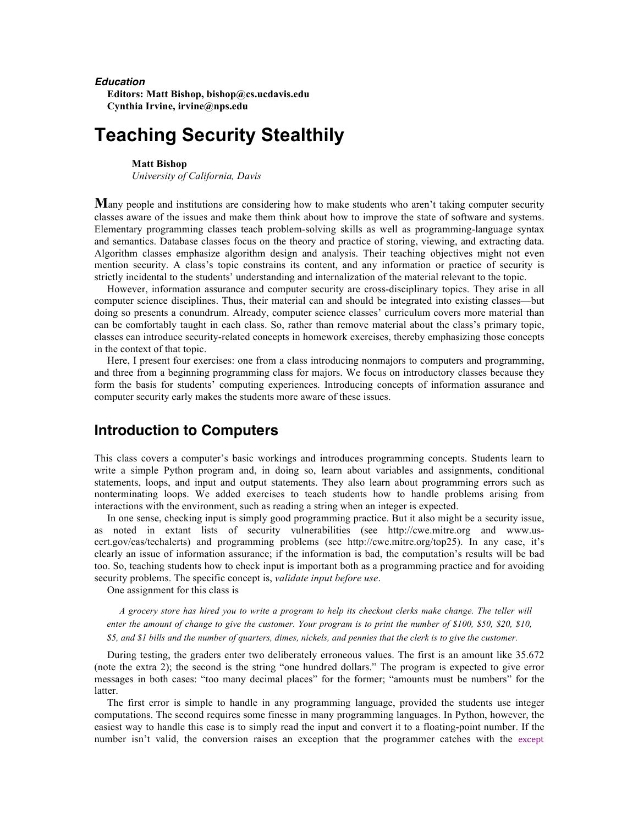#### *Education*

**Editors: Matt Bishop, bishop@cs.ucdavis.edu Cynthia Irvine, irvine@nps.edu**

# **Teaching Security Stealthily**

#### **Matt Bishop**

*University of California, Davis*

**M**any people and institutions are considering how to make students who aren't taking computer security classes aware of the issues and make them think about how to improve the state of software and systems. Elementary programming classes teach problem-solving skills as well as programming-language syntax and semantics. Database classes focus on the theory and practice of storing, viewing, and extracting data. Algorithm classes emphasize algorithm design and analysis. Their teaching objectives might not even mention security. A class's topic constrains its content, and any information or practice of security is strictly incidental to the students' understanding and internalization of the material relevant to the topic.

However, information assurance and computer security are cross-disciplinary topics. They arise in all computer science disciplines. Thus, their material can and should be integrated into existing classes—but doing so presents a conundrum. Already, computer science classes' curriculum covers more material than can be comfortably taught in each class. So, rather than remove material about the class's primary topic, classes can introduce security-related concepts in homework exercises, thereby emphasizing those concepts in the context of that topic.

Here, I present four exercises: one from a class introducing nonmajors to computers and programming, and three from a beginning programming class for majors. We focus on introductory classes because they form the basis for students' computing experiences. Introducing concepts of information assurance and computer security early makes the students more aware of these issues.

## **Introduction to Computers**

This class covers a computer's basic workings and introduces programming concepts. Students learn to write a simple Python program and, in doing so, learn about variables and assignments, conditional statements, loops, and input and output statements. They also learn about programming errors such as nonterminating loops. We added exercises to teach students how to handle problems arising from interactions with the environment, such as reading a string when an integer is expected.

In one sense, checking input is simply good programming practice. But it also might be a security issue, as noted in extant lists of security vulnerabilities (see http://cwe.mitre.org and www.uscert.gov/cas/techalerts) and programming problems (see http://cwe.mitre.org/top25). In any case, it's clearly an issue of information assurance; if the information is bad, the computation's results will be bad too. So, teaching students how to check input is important both as a programming practice and for avoiding security problems. The specific concept is, *validate input before use*.

One assignment for this class is

*A grocery store has hired you to write a program to help its checkout clerks make change. The teller will enter the amount of change to give the customer. Your program is to print the number of \$100, \$50, \$20, \$10, \$5, and \$1 bills and the number of quarters, dimes, nickels, and pennies that the clerk is to give the customer.*

During testing, the graders enter two deliberately erroneous values. The first is an amount like 35.672 (note the extra 2); the second is the string "one hundred dollars." The program is expected to give error messages in both cases: "too many decimal places" for the former; "amounts must be numbers" for the latter.

The first error is simple to handle in any programming language, provided the students use integer computations. The second requires some finesse in many programming languages. In Python, however, the easiest way to handle this case is to simply read the input and convert it to a floating-point number. If the number isn't valid, the conversion raises an exception that the programmer catches with the except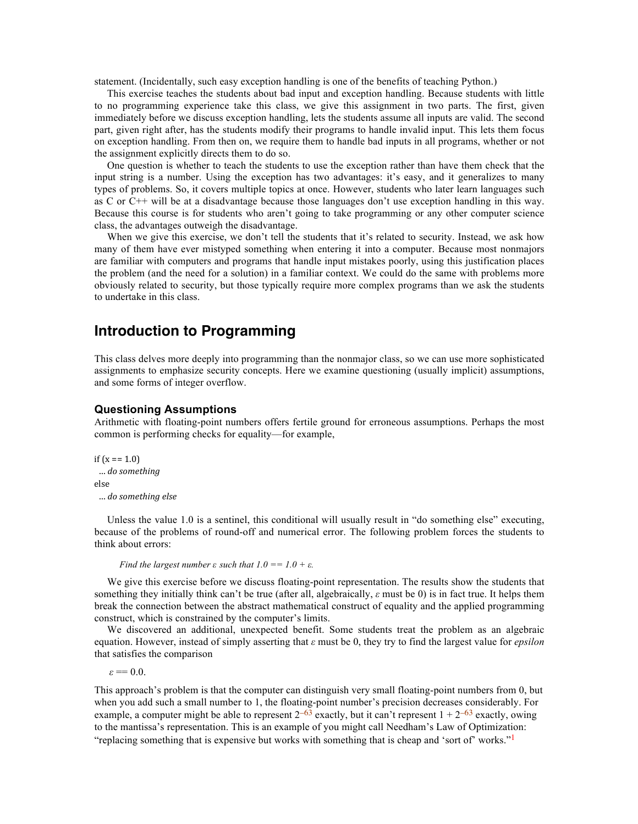statement. (Incidentally, such easy exception handling is one of the benefits of teaching Python.)

This exercise teaches the students about bad input and exception handling. Because students with little to no programming experience take this class, we give this assignment in two parts. The first, given immediately before we discuss exception handling, lets the students assume all inputs are valid. The second part, given right after, has the students modify their programs to handle invalid input. This lets them focus on exception handling. From then on, we require them to handle bad inputs in all programs, whether or not the assignment explicitly directs them to do so.

One question is whether to teach the students to use the exception rather than have them check that the input string is a number. Using the exception has two advantages: it's easy, and it generalizes to many types of problems. So, it covers multiple topics at once. However, students who later learn languages such as C or C++ will be at a disadvantage because those languages don't use exception handling in this way. Because this course is for students who aren't going to take programming or any other computer science class, the advantages outweigh the disadvantage.

When we give this exercise, we don't tell the students that it's related to security. Instead, we ask how many of them have ever mistyped something when entering it into a computer. Because most nonmajors are familiar with computers and programs that handle input mistakes poorly, using this justification places the problem (and the need for a solution) in a familiar context. We could do the same with problems more obviously related to security, but those typically require more complex programs than we ask the students to undertake in this class.

## **Introduction to Programming**

This class delves more deeply into programming than the nonmajor class, so we can use more sophisticated assignments to emphasize security concepts. Here we examine questioning (usually implicit) assumptions, and some forms of integer overflow.

### **Questioning Assumptions**

Arithmetic with floating-point numbers offers fertile ground for erroneous assumptions. Perhaps the most common is performing checks for equality—for example,

```
if (x == 1.0)		…	do	something
else
 		… do	something	else
```
Unless the value 1.0 is a sentinel, this conditional will usually result in "do something else" executing, because of the problems of round-off and numerical error. The following problem forces the students to think about errors:

*Find the largest number*  $\varepsilon$  *<i>such that*  $1.0 == 1.0 + \varepsilon$ *.* 

We give this exercise before we discuss floating-point representation. The results show the students that something they initially think can't be true (after all, algebraically, *ε* must be 0) is in fact true. It helps them break the connection between the abstract mathematical construct of equality and the applied programming construct, which is constrained by the computer's limits.

We discovered an additional, unexpected benefit. Some students treat the problem as an algebraic equation. However, instead of simply asserting that *ε* must be 0, they try to find the largest value for *epsilon* that satisfies the comparison

 $\epsilon = 0.0$ .

This approach's problem is that the computer can distinguish very small floating-point numbers from 0, but when you add such a small number to 1, the floating-point number's precision decreases considerably. For example, a computer might be able to represent  $2^{-63}$  exactly, but it can't represent  $1 + 2^{-63}$  exactly, owing to the mantissa's representation. This is an example of you might call Needham's Law of Optimization: "replacing something that is expensive but works with something that is cheap and 'sort of' works."<sup>1</sup>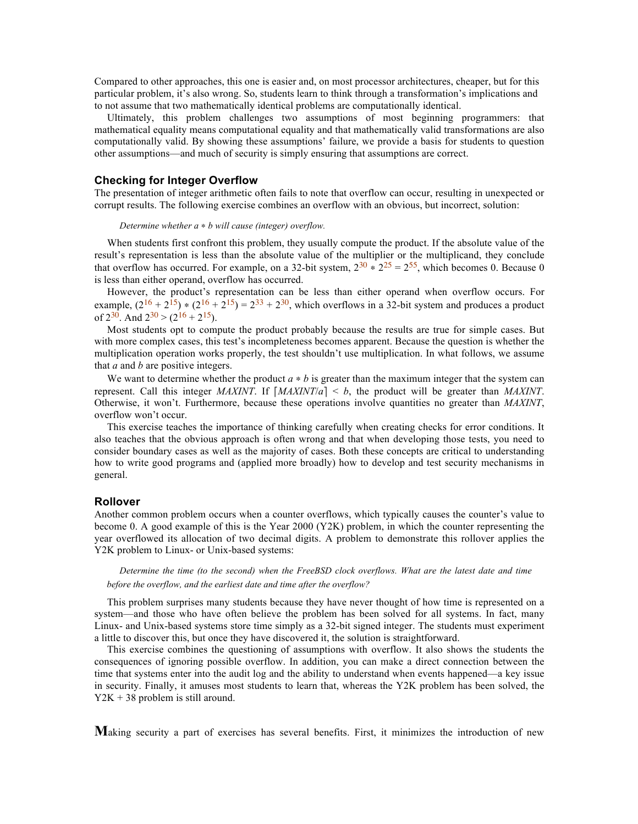Compared to other approaches, this one is easier and, on most processor architectures, cheaper, but for this particular problem, it's also wrong. So, students learn to think through a transformation's implications and to not assume that two mathematically identical problems are computationally identical.

Ultimately, this problem challenges two assumptions of most beginning programmers: that mathematical equality means computational equality and that mathematically valid transformations are also computationally valid. By showing these assumptions' failure, we provide a basis for students to question other assumptions—and much of security is simply ensuring that assumptions are correct.

### **Checking for Integer Overflow**

The presentation of integer arithmetic often fails to note that overflow can occur, resulting in unexpected or corrupt results. The following exercise combines an overflow with an obvious, but incorrect, solution:

*Determine whether a* ∗ *b will cause (integer) overflow.*

When students first confront this problem, they usually compute the product. If the absolute value of the result's representation is less than the absolute value of the multiplier or the multiplicand, they conclude that overflow has occurred. For example, on a 32-bit system,  $2^{30} * 2^{25} = 2^{55}$ , which becomes 0. Because 0 is less than either operand, overflow has occurred.

However, the product's representation can be less than either operand when overflow occurs. For example,  $(2^{16} + 2^{15}) * (2^{16} + 2^{15}) = 2^{33} + 2^{30}$ , which overflows in a 32-bit system and produces a product of  $2^{30}$ . And  $2^{30}$  >  $(2^{16} + 2^{15})$ .

Most students opt to compute the product probably because the results are true for simple cases. But with more complex cases, this test's incompleteness becomes apparent. Because the question is whether the multiplication operation works properly, the test shouldn't use multiplication. In what follows, we assume that *a* and *b* are positive integers.

We want to determine whether the product *a* ∗ *b* is greater than the maximum integer that the system can represent. Call this integer *MAXINT*. If  $[MAXINT/a] < b$ , the product will be greater than *MAXINT*. Otherwise, it won't. Furthermore, because these operations involve quantities no greater than *MAXINT*, overflow won't occur.

This exercise teaches the importance of thinking carefully when creating checks for error conditions. It also teaches that the obvious approach is often wrong and that when developing those tests, you need to consider boundary cases as well as the majority of cases. Both these concepts are critical to understanding how to write good programs and (applied more broadly) how to develop and test security mechanisms in general.

### **Rollover**

Another common problem occurs when a counter overflows, which typically causes the counter's value to become 0. A good example of this is the Year 2000 (Y2K) problem, in which the counter representing the year overflowed its allocation of two decimal digits. A problem to demonstrate this rollover applies the Y2K problem to Linux- or Unix-based systems:

*Determine the time (to the second) when the FreeBSD clock overflows. What are the latest date and time before the overflow, and the earliest date and time after the overflow?*

This problem surprises many students because they have never thought of how time is represented on a system—and those who have often believe the problem has been solved for all systems. In fact, many Linux- and Unix-based systems store time simply as a 32-bit signed integer. The students must experiment a little to discover this, but once they have discovered it, the solution is straightforward.

This exercise combines the questioning of assumptions with overflow. It also shows the students the consequences of ignoring possible overflow. In addition, you can make a direct connection between the time that systems enter into the audit log and the ability to understand when events happened—a key issue in security. Finally, it amuses most students to learn that, whereas the Y2K problem has been solved, the Y2K + 38 problem is still around.

**M**aking security a part of exercises has several benefits. First, it minimizes the introduction of new